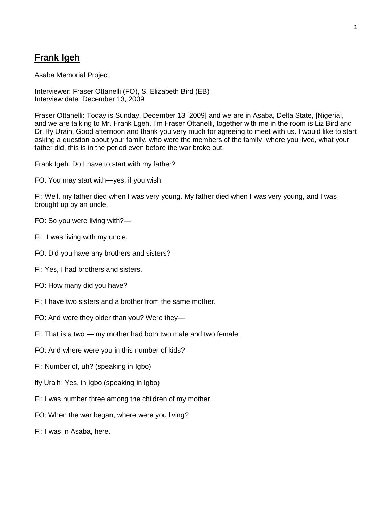## **Frank Igeh**

Asaba Memorial Project

Interviewer: Fraser Ottanelli (FO), S. Elizabeth Bird (EB) Interview date: December 13, 2009

Fraser Ottanelli: Today is Sunday, December 13 [2009] and we are in Asaba, Delta State, [Nigeria], and we are talking to Mr. Frank Lgeh. I'm Fraser Ottanelli, together with me in the room is Liz Bird and Dr. If v Uraih. Good afternoon and thank you very much for agreeing to meet with us. I would like to start asking a question about your family, who were the members of the family, where you lived, what your father did, this is in the period even before the war broke out.

Frank Igeh: Do I have to start with my father?

FO: You may start with—yes, if you wish.

FI: Well, my father died when I was very young. My father died when I was very young, and I was brought up by an uncle.

- FO: So you were living with?—
- FI: I was living with my uncle.
- FO: Did you have any brothers and sisters?
- FI: Yes, I had brothers and sisters.
- FO: How many did you have?
- FI: I have two sisters and a brother from the same mother.
- FO: And were they older than you? Were they—
- FI: That is a two my mother had both two male and two female.
- FO: And where were you in this number of kids?
- FI: Number of, uh? (speaking in Igbo)
- Ify Uraih: Yes, in Igbo (speaking in Igbo)
- FI: I was number three among the children of my mother.
- FO: When the war began, where were you living?
- FI: I was in Asaba, here.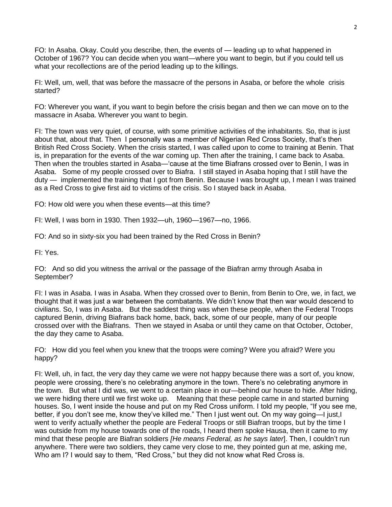FO: In Asaba. Okay. Could you describe, then, the events of — leading up to what happened in October of 1967? You can decide when you want—where you want to begin, but if you could tell us what your recollections are of the period leading up to the killings.

FI: Well, um, well, that was before the massacre of the persons in Asaba, or before the whole crisis started?

FO: Wherever you want, if you want to begin before the crisis began and then we can move on to the massacre in Asaba. Wherever you want to begin.

FI: The town was very quiet, of course, with some primitive activities of the inhabitants. So, that is just about that, about that. Then I personally was a member of Nigerian Red Cross Society, that's then British Red Cross Society. When the crisis started, I was called upon to come to training at Benin. That is, in preparation for the events of the war coming up. Then after the training, I came back to Asaba. Then when the troubles started in Asaba—'cause at the time Biafrans crossed over to Benin, I was in Asaba. Some of my people crossed over to Biafra. I still stayed in Asaba hoping that I still have the duty — implemented the training that I got from Benin. Because I was brought up, I mean I was trained as a Red Cross to give first aid to victims of the crisis. So I stayed back in Asaba.

FO: How old were you when these events—at this time?

FI: Well, I was born in 1930. Then 1932—uh, 1960—1967—no, 1966.

FO: And so in sixty-six you had been trained by the Red Cross in Benin?

FI: Yes.

FO: And so did you witness the arrival or the passage of the Biafran army through Asaba in September?

FI: I was in Asaba. I was in Asaba. When they crossed over to Benin, from Benin to Ore, we, in fact, we thought that it was just a war between the combatants. We didn't know that then war would descend to civilians. So, I was in Asaba. But the saddest thing was when these people, when the Federal Troops captured Benin, driving Biafrans back home, back, back, some of our people, many of our people crossed over with the Biafrans. Then we stayed in Asaba or until they came on that October, October, the day they came to Asaba.

FO: How did you feel when you knew that the troops were coming? Were you afraid? Were you happy?

FI: Well, uh, in fact, the very day they came we were not happy because there was a sort of, you know, people were crossing, there's no celebrating anymore in the town. There's no celebrating anymore in the town. But what I did was, we went to a certain place in our—behind our house to hide. After hiding, we were hiding there until we first woke up. Meaning that these people came in and started burning houses. So, I went inside the house and put on my Red Cross uniform. I told my people, "If you see me, better, if you don't see me, know they've killed me." Then I just went out. On my way going—I just,I went to verify actually whether the people are Federal Troops or still Biafran troops, but by the time I was outside from my house towards one of the roads, I heard them spoke Hausa, then it came to my mind that these people are Biafran soldiers *[He means Federal, as he says later*]. Then, I couldn't run anywhere. There were two soldiers, they came very close to me, they pointed gun at me, asking me, Who am I? I would say to them, "Red Cross," but they did not know what Red Cross is.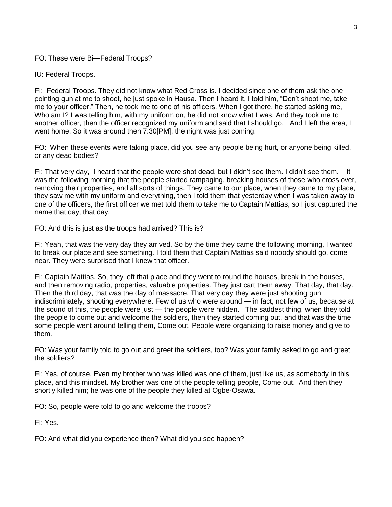## FO: These were Bi—Federal Troops?

IU: Federal Troops.

FI: Federal Troops. They did not know what Red Cross is. I decided since one of them ask the one pointing gun at me to shoot, he just spoke in Hausa. Then I heard it, I told him, "Don't shoot me, take me to your officer." Then, he took me to one of his officers. When I got there, he started asking me, Who am I? I was telling him, with my uniform on, he did not know what I was. And they took me to another officer, then the officer recognized my uniform and said that I should go. And I left the area, I went home. So it was around then 7:30[PM], the night was just coming.

FO: When these events were taking place, did you see any people being hurt, or anyone being killed, or any dead bodies?

FI: That very day, I heard that the people were shot dead, but I didn't see them. I didn't see them. It was the following morning that the people started rampaging, breaking houses of those who cross over, removing their properties, and all sorts of things. They came to our place, when they came to my place, they saw me with my uniform and everything, then I told them that yesterday when I was taken away to one of the officers, the first officer we met told them to take me to Captain Mattias, so I just captured the name that day, that day.

FO: And this is just as the troops had arrived? This is?

FI: Yeah, that was the very day they arrived. So by the time they came the following morning, I wanted to break our place and see something. I told them that Captain Mattias said nobody should go, come near. They were surprised that I knew that officer.

FI: Captain Mattias. So, they left that place and they went to round the houses, break in the houses, and then removing radio, properties, valuable properties. They just cart them away. That day, that day. Then the third day, that was the day of massacre. That very day they were just shooting gun indiscriminately, shooting everywhere. Few of us who were around — in fact, not few of us, because at the sound of this, the people were just — the people were hidden. The saddest thing, when they told the people to come out and welcome the soldiers, then they started coming out, and that was the time some people went around telling them, Come out. People were organizing to raise money and give to them.

FO: Was your family told to go out and greet the soldiers, too? Was your family asked to go and greet the soldiers?

FI: Yes, of course. Even my brother who was killed was one of them, just like us, as somebody in this place, and this mindset. My brother was one of the people telling people, Come out. And then they shortly killed him; he was one of the people they killed at Ogbe-Osawa.

FO: So, people were told to go and welcome the troops?

FI: Yes.

FO: And what did you experience then? What did you see happen?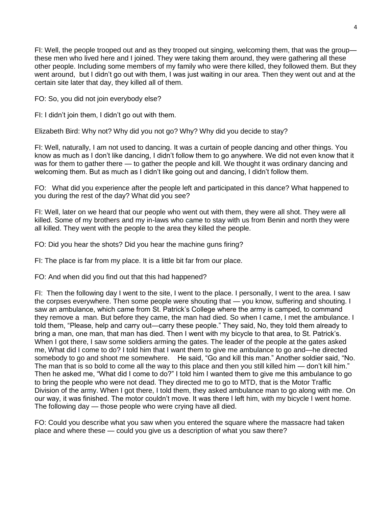FI: Well, the people trooped out and as they trooped out singing, welcoming them, that was the group these men who lived here and I joined. They were taking them around, they were gathering all these other people. Including some members of my family who were there killed, they followed them. But they went around, but I didn't go out with them, I was just waiting in our area. Then they went out and at the certain site later that day, they killed all of them.

FO: So, you did not join everybody else?

FI: I didn't join them, I didn't go out with them.

Elizabeth Bird: Why not? Why did you not go? Why? Why did you decide to stay?

FI: Well, naturally, I am not used to dancing. It was a curtain of people dancing and other things. You know as much as I don't like dancing, I didn't follow them to go anywhere. We did not even know that it was for them to gather there — to gather the people and kill. We thought it was ordinary dancing and welcoming them. But as much as I didn't like going out and dancing, I didn't follow them.

FO: What did you experience after the people left and participated in this dance? What happened to you during the rest of the day? What did you see?

FI: Well, later on we heard that our people who went out with them, they were all shot. They were all killed. Some of my brothers and my in-laws who came to stay with us from Benin and north they were all killed. They went with the people to the area they killed the people.

FO: Did you hear the shots? Did you hear the machine guns firing?

FI: The place is far from my place. It is a little bit far from our place.

FO: And when did you find out that this had happened?

FI: Then the following day I went to the site, I went to the place. I personally, I went to the area. I saw the corpses everywhere. Then some people were shouting that — you know, suffering and shouting. I saw an ambulance, which came from St. Patrick's College where the army is camped, to command they remove a man. But before they came, the man had died. So when I came, I met the ambulance. I told them, "Please, help and carry out—carry these people." They said, No, they told them already to bring a man, one man, that man has died. Then I went with my bicycle to that area, to St. Patrick's. When I got there, I saw some soldiers arming the gates. The leader of the people at the gates asked me, What did I come to do? I told him that I want them to give me ambulance to go and—he directed somebody to go and shoot me somewhere. He said, "Go and kill this man." Another soldier said, "No. The man that is so bold to come all the way to this place and then you still killed him — don't kill him." Then he asked me, "What did I come to do?" I told him I wanted them to give me this ambulance to go to bring the people who were not dead. They directed me to go to MTD, that is the Motor Traffic Division of the army. When I got there, I told them, they asked ambulance man to go along with me. On our way, it was finished. The motor couldn't move. It was there I left him, with my bicycle I went home. The following day — those people who were crying have all died.

FO: Could you describe what you saw when you entered the square where the massacre had taken place and where these — could you give us a description of what you saw there?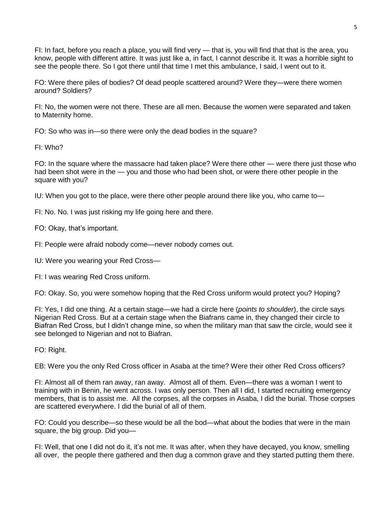FI: In fact, before you reach a place, you will find very — that is, you will find that that is the area, you know, people with different attire. It was just like a, in fact, I cannot describe it. It was a horrible sight to see the people there. So I got there until that time I met this ambulance, I said, I went out to it.

FO: Were there piles of bodies? Of dead people scattered around? Were they—were there women around? Soldiers?

FI: No, the women were not there. These are all men. Because the women were separated and taken to Maternity home.

FO: So who was in—so there were only the dead bodies in the square?

FI: Who?

FO: In the square where the massacre had taken place? Were there other — were there just those who had been shot were in the — you and those who had been shot, or were there other people in the square with you?

IU: When you got to the place, were there other people around there like you, who came to—

FI: No. No. I was just risking my life going here and there.

FO: Okay, that's important.

FI: People were afraid nobody come—never nobody comes out.

IU: Were you wearing your Red Cross—

FI: I was wearing Red Cross uniform.

FO: Okay. So, you were somehow hoping that the Red Cross uniform would protect you? Hoping?

FI: Yes, I did one thing. At a certain stage—we had a circle here (*points to shoulder*), the circle says Nigerian Red Cross. But at a certain stage when the Biafrans came in, they changed their circle to Biafran Red Cross, but I didn't change mine, so when the military man that saw the circle, would see it see belonged to Nigerian and not to Biafran.

FO: Right.

EB: Were you the only Red Cross officer in Asaba at the time? Were their other Red Cross officers?

FI: Almost all of them ran away, ran away. Almost all of them. Even—there was a woman I went to training with in Benin, he went across. I was only person. Then all I did, I started recruiting emergency members, that is to assist me. All the corpses, all the corpses in Asaba, I did the burial. Those corpses are scattered everywhere. I did the burial of all of them.

FO: Could you describe—so these would be all the bod—what about the bodies that were in the main square, the big group. Did you—

FI: Well, that one I did not do it, it's not me. It was after, when they have decayed, you know, smelling all over, the people there gathered and then dug a common grave and they started putting them there.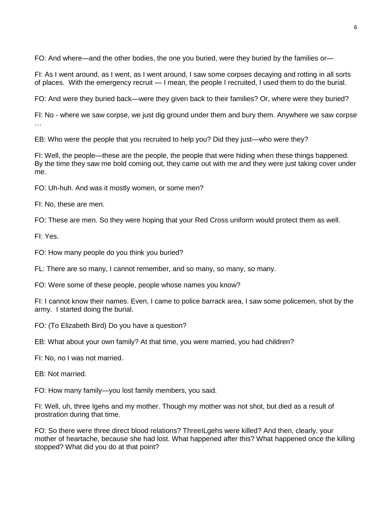FO: And where—and the other bodies, the one you buried, were they buried by the families or—

FI: As I went around, as I went, as I went around, I saw some corpses decaying and rotting in all sorts of places. With the emergency recruit — I mean, the people I recruited, I used them to do the burial.

FO: And were they buried back—were they given back to their families? Or, where were they buried?

FI: No - where we saw corpse, we just dig ground under them and bury them. Anywhere we saw corpse …

EB: Who were the people that you recruited to help you? Did they just—who were they?

FI: Well, the people—these are the people, the people that were hiding when these things happened. By the time they saw me bold coming out, they came out with me and they were just taking cover under me.

FO: Uh-huh. And was it mostly women, or some men?

FI: No, these are men.

FO: These are men. So they were hoping that your Red Cross uniform would protect them as well.

FI: Yes.

FO: How many people do you think you buried?

FL: There are so many, I cannot remember, and so many, so many, so many.

FO: Were some of these people, people whose names you know?

FI: I cannot know their names. Even, I came to police barrack area, I saw some policemen, shot by the army. I started doing the burial.

FO: (To Elizabeth Bird) Do you have a question?

EB: What about your own family? At that time, you were married, you had children?

FI: No, no I was not married.

EB: Not married.

FO: How many family—you lost family members, you said.

FI: Well, uh, three Igehs and my mother. Though my mother was not shot, but died as a result of prostration during that time.

FO: So there were three direct blood relations? ThreeILgehs were killed? And then, clearly, your mother of heartache, because she had lost. What happened after this? What happened once the killing stopped? What did you do at that point?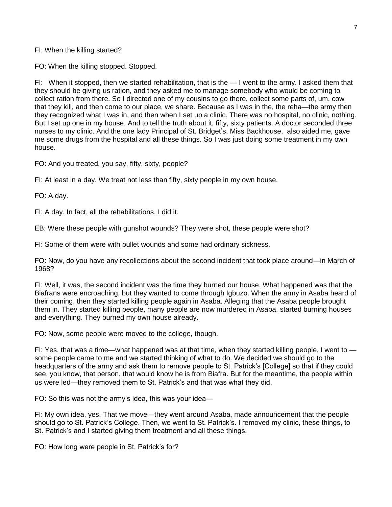## FI: When the killing started?

FO: When the killing stopped. Stopped.

FI: When it stopped, then we started rehabilitation, that is the — I went to the army. I asked them that they should be giving us ration, and they asked me to manage somebody who would be coming to collect ration from there. So I directed one of my cousins to go there, collect some parts of, um, cow that they kill, and then come to our place, we share. Because as I was in the, the reha—the army then they recognized what I was in, and then when I set up a clinic. There was no hospital, no clinic, nothing. But I set up one in my house. And to tell the truth about it, fifty, sixty patients. A doctor seconded three nurses to my clinic. And the one lady Principal of St. Bridget's, Miss Backhouse, also aided me, gave me some drugs from the hospital and all these things. So I was just doing some treatment in my own house.

FO: And you treated, you say, fifty, sixty, people?

FI: At least in a day. We treat not less than fifty, sixty people in my own house.

FO: A day.

FI: A day. In fact, all the rehabilitations, I did it.

EB: Were these people with gunshot wounds? They were shot, these people were shot?

FI: Some of them were with bullet wounds and some had ordinary sickness.

FO: Now, do you have any recollections about the second incident that took place around—in March of 1968?

FI: Well, it was, the second incident was the time they burned our house. What happened was that the Biafrans were encroaching, but they wanted to come through Igbuzo. When the army in Asaba heard of their coming, then they started killing people again in Asaba. Alleging that the Asaba people brought them in. They started killing people, many people are now murdered in Asaba, started burning houses and everything. They burned my own house already.

FO: Now, some people were moved to the college, though.

FI: Yes, that was a time—what happened was at that time, when they started killing people, I went to some people came to me and we started thinking of what to do. We decided we should go to the headquarters of the army and ask them to remove people to St. Patrick's [College] so that if they could see, you know, that person, that would know he is from Biafra. But for the meantime, the people within us were led—they removed them to St. Patrick's and that was what they did.

FO: So this was not the army's idea, this was your idea—

FI: My own idea, yes. That we move—they went around Asaba, made announcement that the people should go to St. Patrick's College. Then, we went to St. Patrick's. I removed my clinic, these things, to St. Patrick's and I started giving them treatment and all these things.

FO: How long were people in St. Patrick's for?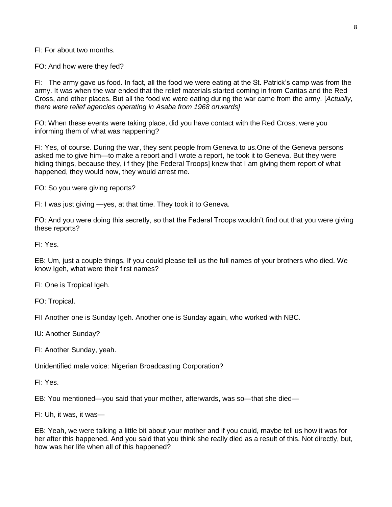FI: For about two months.

FO: And how were they fed?

FI: The army gave us food. In fact, all the food we were eating at the St. Patrick's camp was from the army. It was when the war ended that the relief materials started coming in from Caritas and the Red Cross, and other places. But all the food we were eating during the war came from the army. [*Actually, there were relief agencies operating in Asaba from 1968 onwards]*

FO: When these events were taking place, did you have contact with the Red Cross, were you informing them of what was happening?

FI: Yes, of course. During the war, they sent people from Geneva to us.One of the Geneva persons asked me to give him—to make a report and I wrote a report, he took it to Geneva. But they were hiding things, because they, i f they [the Federal Troops] knew that I am giving them report of what happened, they would now, they would arrest me.

FO: So you were giving reports?

FI: I was just giving —yes, at that time. They took it to Geneva.

FO: And you were doing this secretly, so that the Federal Troops wouldn't find out that you were giving these reports?

FI: Yes.

EB: Um, just a couple things. If you could please tell us the full names of your brothers who died. We know Igeh, what were their first names?

FI: One is Tropical Igeh.

FO: Tropical.

FII Another one is Sunday Igeh. Another one is Sunday again, who worked with NBC.

IU: Another Sunday?

FI: Another Sunday, yeah.

Unidentified male voice: Nigerian Broadcasting Corporation?

FI: Yes.

EB: You mentioned—you said that your mother, afterwards, was so—that she died—

FI: Uh, it was, it was—

EB: Yeah, we were talking a little bit about your mother and if you could, maybe tell us how it was for her after this happened. And you said that you think she really died as a result of this. Not directly, but, how was her life when all of this happened?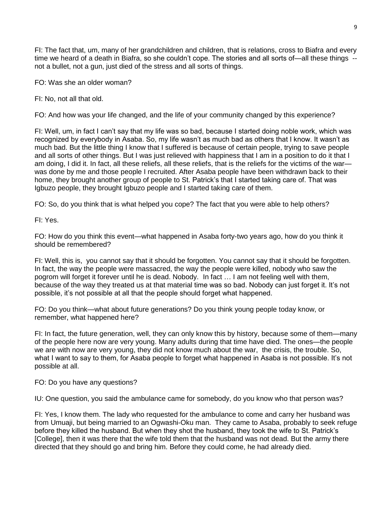FI: The fact that, um, many of her grandchildren and children, that is relations, cross to Biafra and every time we heard of a death in Biafra, so she couldn't cope. The stories and all sorts of—all these things - not a bullet, not a gun, just died of the stress and all sorts of things.

FO: Was she an older woman?

FI: No, not all that old.

FO: And how was your life changed, and the life of your community changed by this experience?

FI: Well, um, in fact I can't say that my life was so bad, because I started doing noble work, which was recognized by everybody in Asaba. So, my life wasn't as much bad as others that I know. It wasn't as much bad. But the little thing I know that I suffered is because of certain people, trying to save people and all sorts of other things. But I was just relieved with happiness that I am in a position to do it that I am doing, I did it. In fact, all these reliefs, all these reliefs, that is the reliefs for the victims of the war was done by me and those people I recruited. After Asaba people have been withdrawn back to their home, they brought another group of people to St. Patrick's that I started taking care of. That was Igbuzo people, they brought Igbuzo people and I started taking care of them.

FO: So, do you think that is what helped you cope? The fact that you were able to help others?

FI: Yes.

FO: How do you think this event—what happened in Asaba forty-two years ago, how do you think it should be remembered?

FI: Well, this is, you cannot say that it should be forgotten. You cannot say that it should be forgotten. In fact, the way the people were massacred, the way the people were killed, nobody who saw the pogrom will forget it forever until he is dead. Nobody. In fact … I am not feeling well with them, because of the way they treated us at that material time was so bad. Nobody can just forget it. It's not possible, it's not possible at all that the people should forget what happened.

FO: Do you think—what about future generations? Do you think young people today know, or remember, what happened here?

FI: In fact, the future generation, well, they can only know this by history, because some of them—many of the people here now are very young. Many adults during that time have died. The ones—the people we are with now are very young, they did not know much about the war, the crisis, the trouble. So, what I want to say to them, for Asaba people to forget what happened in Asaba is not possible. It's not possible at all.

FO: Do you have any questions?

IU: One question, you said the ambulance came for somebody, do you know who that person was?

FI: Yes, I know them. The lady who requested for the ambulance to come and carry her husband was from Umuaji, but being married to an Ogwashi-Oku man. They came to Asaba, probably to seek refuge before they killed the husband. But when they shot the husband, they took the wife to St. Patrick's [College], then it was there that the wife told them that the husband was not dead. But the army there directed that they should go and bring him. Before they could come, he had already died.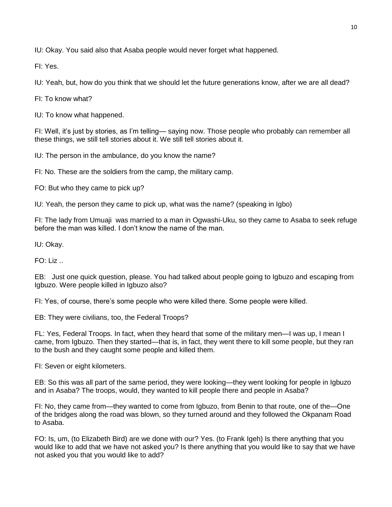IU: Okay. You said also that Asaba people would never forget what happened.

FI: Yes.

IU: Yeah, but, how do you think that we should let the future generations know, after we are all dead?

FI: To know what?

IU: To know what happened.

FI: Well, it's just by stories, as I'm telling— saying now. Those people who probably can remember all these things, we still tell stories about it. We still tell stories about it.

IU: The person in the ambulance, do you know the name?

FI: No. These are the soldiers from the camp, the military camp.

FO: But who they came to pick up?

IU: Yeah, the person they came to pick up, what was the name? (speaking in Igbo)

FI: The lady from Umuaji was married to a man in Ogwashi-Uku, so they came to Asaba to seek refuge before the man was killed. I don't know the name of the man.

IU: Okay.

FO: Liz ..

EB: Just one quick question, please. You had talked about people going to Igbuzo and escaping from Igbuzo. Were people killed in Igbuzo also?

FI: Yes, of course, there's some people who were killed there. Some people were killed.

EB: They were civilians, too, the Federal Troops?

FL: Yes, Federal Troops. In fact, when they heard that some of the military men—I was up, I mean I came, from Igbuzo. Then they started—that is, in fact, they went there to kill some people, but they ran to the bush and they caught some people and killed them.

FI: Seven or eight kilometers.

EB: So this was all part of the same period, they were looking—they went looking for people in Igbuzo and in Asaba? The troops, would, they wanted to kill people there and people in Asaba?

FI: No, they came from—they wanted to come from Igbuzo, from Benin to that route, one of the—One of the bridges along the road was blown, so they turned around and they followed the Okpanam Road to Asaba.

FO: Is, um, (to Elizabeth Bird) are we done with our? Yes. (to Frank Igeh) Is there anything that you would like to add that we have not asked you? Is there anything that you would like to say that we have not asked you that you would like to add?